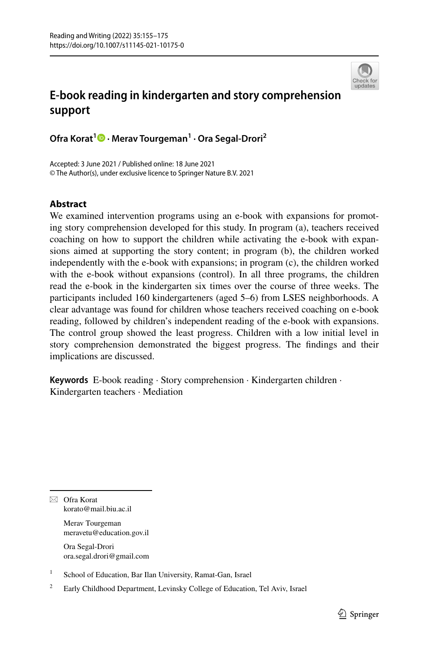

# **E‑book reading in kindergarten and story comprehension support**

**Ofra Korat<sup>1</sup>  [·](http://orcid.org/0000-0001-6217-678X) Merav Tourgeman1 · Ora Segal‑Drori2**

Accepted: 3 June 2021 / Published online: 18 June 2021 © The Author(s), under exclusive licence to Springer Nature B.V. 2021

# **Abstract**

We examined intervention programs using an e-book with expansions for promoting story comprehension developed for this study. In program (a), teachers received coaching on how to support the children while activating the e-book with expansions aimed at supporting the story content; in program (b), the children worked independently with the e-book with expansions; in program (c), the children worked with the e-book without expansions (control). In all three programs, the children read the e-book in the kindergarten six times over the course of three weeks. The participants included 160 kindergarteners (aged 5–6) from LSES neighborhoods. A clear advantage was found for children whose teachers received coaching on e-book reading, followed by children's independent reading of the e-book with expansions. The control group showed the least progress. Children with a low initial level in story comprehension demonstrated the biggest progress. The fndings and their implications are discussed.

**Keywords** E-book reading · Story comprehension · Kindergarten children · Kindergarten teachers · Mediation

 $\boxtimes$  Ofra Korat korato@mail.biu.ac.il

> Merav Tourgeman meravetu@education.gov.il

> Ora Segal-Drori ora.segal.drori@gmail.com

<sup>1</sup> School of Education, Bar Ilan University, Ramat-Gan, Israel

<sup>&</sup>lt;sup>2</sup> Early Childhood Department, Levinsky College of Education, Tel Aviv, Israel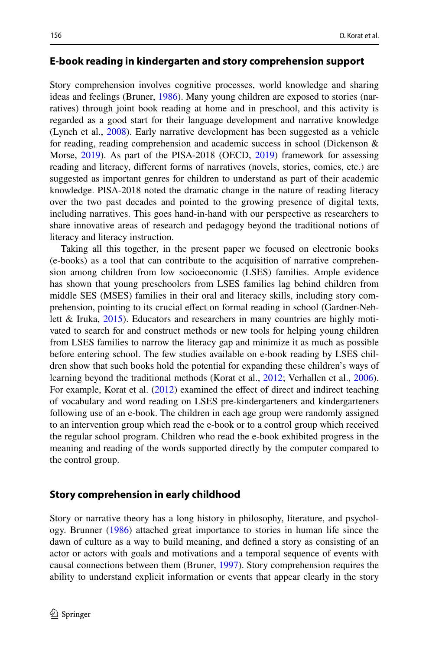### **E‑book reading in kindergarten and story comprehension support**

Story comprehension involves cognitive processes, world knowledge and sharing ideas and feelings (Bruner, [1986\)](#page-18-0). Many young children are exposed to stories (narratives) through joint book reading at home and in preschool, and this activity is regarded as a good start for their language development and narrative knowledge (Lynch et al., [2008](#page-19-0)). Early narrative development has been suggested as a vehicle for reading, reading comprehension and academic success in school (Dickenson & Morse, [2019\)](#page-18-1). As part of the PISA-2018 (OECD, [2019](#page-19-1)) framework for assessing reading and literacy, diferent forms of narratives (novels, stories, comics, etc.) are suggested as important genres for children to understand as part of their academic knowledge. PISA-2018 noted the dramatic change in the nature of reading literacy over the two past decades and pointed to the growing presence of digital texts, including narratives. This goes hand-in-hand with our perspective as researchers to share innovative areas of research and pedagogy beyond the traditional notions of literacy and literacy instruction.

Taking all this together, in the present paper we focused on electronic books (e-books) as a tool that can contribute to the acquisition of narrative comprehension among children from low socioeconomic (LSES) families. Ample evidence has shown that young preschoolers from LSES families lag behind children from middle SES (MSES) families in their oral and literacy skills, including story comprehension, pointing to its crucial efect on formal reading in school (Gardner-Neblett & Iruka, [2015\)](#page-18-2). Educators and researchers in many countries are highly motivated to search for and construct methods or new tools for helping young children from LSES families to narrow the literacy gap and minimize it as much as possible before entering school. The few studies available on e-book reading by LSES children show that such books hold the potential for expanding these children's ways of learning beyond the traditional methods (Korat et al., [2012;](#page-18-3) Verhallen et al., [2006\)](#page-20-0). For example, Korat et al. ([2012\)](#page-18-3) examined the effect of direct and indirect teaching of vocabulary and word reading on LSES pre-kindergarteners and kindergarteners following use of an e-book. The children in each age group were randomly assigned to an intervention group which read the e-book or to a control group which received the regular school program. Children who read the e-book exhibited progress in the meaning and reading of the words supported directly by the computer compared to the control group.

## **Story comprehension in early childhood**

Story or narrative theory has a long history in philosophy, literature, and psychology. Brunner [\(1986](#page-18-0)) attached great importance to stories in human life since the dawn of culture as a way to build meaning, and defned a story as consisting of an actor or actors with goals and motivations and a temporal sequence of events with causal connections between them (Bruner, [1997](#page-18-4)). Story comprehension requires the ability to understand explicit information or events that appear clearly in the story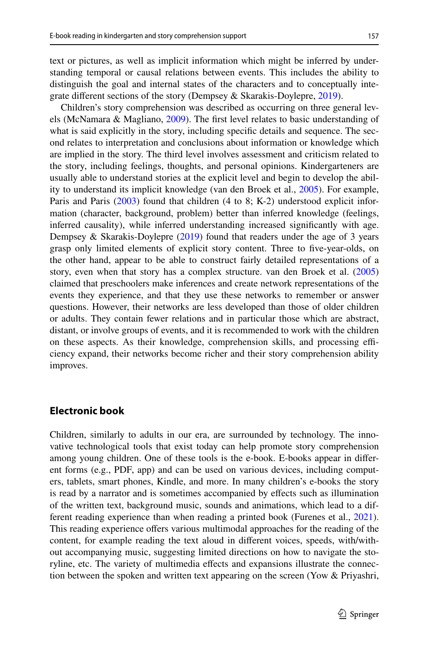text or pictures, as well as implicit information which might be inferred by understanding temporal or causal relations between events. This includes the ability to distinguish the goal and internal states of the characters and to conceptually integrate diferent sections of the story (Dempsey & Skarakis-Doylepre, [2019](#page-17-0)).

Children's story comprehension was described as occurring on three general levels (McNamara & Magliano, [2009](#page-19-2)). The frst level relates to basic understanding of what is said explicitly in the story, including specifc details and sequence. The second relates to interpretation and conclusions about information or knowledge which are implied in the story. The third level involves assessment and criticism related to the story, including feelings, thoughts, and personal opinions. Kindergarteners are usually able to understand stories at the explicit level and begin to develop the ability to understand its implicit knowledge (van den Broek et al., [2005](#page-20-1)). For example, Paris and Paris ([2003\)](#page-19-3) found that children (4 to 8; K-2) understood explicit information (character, background, problem) better than inferred knowledge (feelings, inferred causality), while inferred understanding increased signifcantly with age. Dempsey & Skarakis-Doylepre [\(2019](#page-17-0)) found that readers under the age of 3 years grasp only limited elements of explicit story content. Three to fve-year-olds, on the other hand, appear to be able to construct fairly detailed representations of a story, even when that story has a complex structure. van den Broek et al. [\(2005](#page-20-1)) claimed that preschoolers make inferences and create network representations of the events they experience, and that they use these networks to remember or answer questions. However, their networks are less developed than those of older children or adults. They contain fewer relations and in particular those which are abstract, distant, or involve groups of events, and it is recommended to work with the children on these aspects. As their knowledge, comprehension skills, and processing efficiency expand, their networks become richer and their story comprehension ability improves.

## **Electronic book**

Children, similarly to adults in our era, are surrounded by technology. The innovative technological tools that exist today can help promote story comprehension among young children. One of these tools is the e-book. E-books appear in diferent forms (e.g., PDF, app) and can be used on various devices, including computers, tablets, smart phones, Kindle, and more. In many children's e-books the story is read by a narrator and is sometimes accompanied by efects such as illumination of the written text, background music, sounds and animations, which lead to a different reading experience than when reading a printed book (Furenes et al., [2021\)](#page-18-5). This reading experience ofers various multimodal approaches for the reading of the content, for example reading the text aloud in diferent voices, speeds, with/without accompanying music, suggesting limited directions on how to navigate the storyline, etc. The variety of multimedia efects and expansions illustrate the connection between the spoken and written text appearing on the screen (Yow  $&$  Priyashri,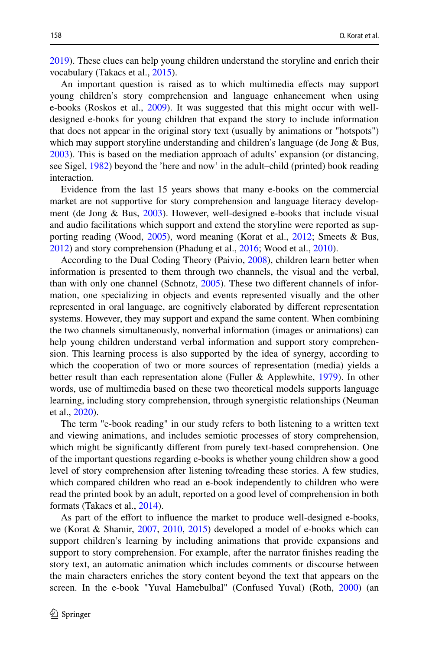[2019](#page-20-2)). These clues can help young children understand the storyline and enrich their vocabulary (Takacs et al., [2015](#page-20-3)).

An important question is raised as to which multimedia efects may support young children's story comprehension and language enhancement when using e-books (Roskos et al., [2009](#page-19-4)). It was suggested that this might occur with welldesigned e-books for young children that expand the story to include information that does not appear in the original story text (usually by animations or "hotspots") which may support storyline understanding and children's language (de Jong & Bus, [2003](#page-18-6)). This is based on the mediation approach of adults' expansion (or distancing, see Sigel, [1982\)](#page-19-5) beyond the 'here and now' in the adult–child (printed) book reading interaction.

Evidence from the last 15 years shows that many e-books on the commercial market are not supportive for story comprehension and language literacy development (de Jong & Bus, [2003\)](#page-18-6). However, well-designed e-books that include visual and audio facilitations which support and extend the storyline were reported as supporting reading (Wood, [2005](#page-20-4)), word meaning (Korat et al., [2012;](#page-18-3) Smeets & Bus, [2012](#page-20-5)) and story comprehension (Phadung et al., [2016](#page-19-6); Wood et al., [2010](#page-20-6)).

According to the Dual Coding Theory (Paivio, [2008\)](#page-19-7), children learn better when information is presented to them through two channels, the visual and the verbal, than with only one channel (Schnotz, [2005\)](#page-19-8). These two different channels of information, one specializing in objects and events represented visually and the other represented in oral language, are cognitively elaborated by diferent representation systems. However, they may support and expand the same content. When combining the two channels simultaneously, nonverbal information (images or animations) can help young children understand verbal information and support story comprehension. This learning process is also supported by the idea of synergy, according to which the cooperation of two or more sources of representation (media) yields a better result than each representation alone (Fuller & Applewhite, [1979](#page-18-7)). In other words, use of multimedia based on these two theoretical models supports language learning, including story comprehension, through synergistic relationships (Neuman et al., [2020](#page-19-9)).

The term "e-book reading" in our study refers to both listening to a written text and viewing animations, and includes semiotic processes of story comprehension, which might be signifcantly diferent from purely text-based comprehension. One of the important questions regarding e-books is whether young children show a good level of story comprehension after listening to/reading these stories. A few studies, which compared children who read an e-book independently to children who were read the printed book by an adult, reported on a good level of comprehension in both formats (Takacs et al., [2014](#page-20-7)).

As part of the efort to infuence the market to produce well-designed e-books, we (Korat & Shamir, [2007,](#page-18-8) [2010,](#page-18-9) [2015\)](#page-19-10) developed a model of e-books which can support children's learning by including animations that provide expansions and support to story comprehension. For example, after the narrator fnishes reading the story text, an automatic animation which includes comments or discourse between the main characters enriches the story content beyond the text that appears on the screen. In the e-book "Yuval Hamebulbal" (Confused Yuval) (Roth, [2000](#page-19-11)) (an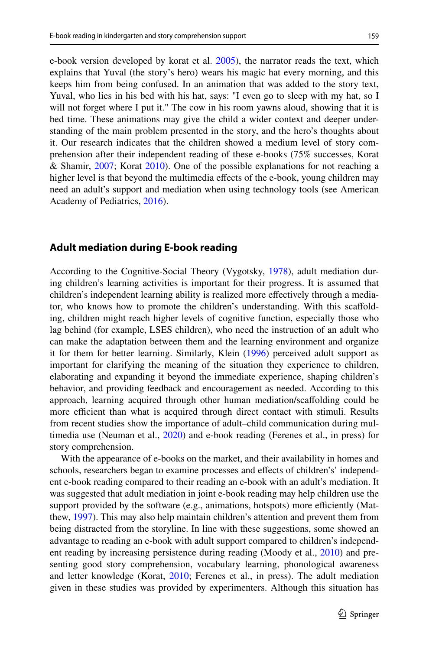e-book version developed by korat et al. [2005](#page-18-10)), the narrator reads the text, which explains that Yuval (the story's hero) wears his magic hat every morning, and this keeps him from being confused. In an animation that was added to the story text, Yuval, who lies in his bed with his hat, says: "I even go to sleep with my hat, so I will not forget where I put it." The cow in his room yawns aloud, showing that it is bed time. These animations may give the child a wider context and deeper understanding of the main problem presented in the story, and the hero's thoughts about it. Our research indicates that the children showed a medium level of story comprehension after their independent reading of these e-books (75% successes, Korat & Shamir, [2007;](#page-18-10) Korat [2010\)](#page-18-9). One of the possible explanations for not reaching a higher level is that beyond the multimedia efects of the e-book, young children may need an adult's support and mediation when using technology tools (see American Academy of Pediatrics, [2016\)](#page-17-0).

# **Adult mediation during E‑book reading**

According to the Cognitive-Social Theory (Vygotsky, [1978](#page-20-8)), adult mediation during children's learning activities is important for their progress. It is assumed that children's independent learning ability is realized more efectively through a mediator, who knows how to promote the children's understanding. With this scafolding, children might reach higher levels of cognitive function, especially those who lag behind (for example, LSES children), who need the instruction of an adult who can make the adaptation between them and the learning environment and organize it for them for better learning. Similarly, Klein ([1996\)](#page-18-11) perceived adult support as important for clarifying the meaning of the situation they experience to children, elaborating and expanding it beyond the immediate experience, shaping children's behavior, and providing feedback and encouragement as needed. According to this approach, learning acquired through other human mediation/scafolding could be more efficient than what is acquired through direct contact with stimuli. Results from recent studies show the importance of adult–child communication during multimedia use (Neuman et al., [2020\)](#page-19-9) and e-book reading (Ferenes et al., in press) for story comprehension.

With the appearance of e-books on the market, and their availability in homes and schools, researchers began to examine processes and efects of children's' independent e-book reading compared to their reading an e-book with an adult's mediation. It was suggested that adult mediation in joint e-book reading may help children use the support provided by the software (e.g., animations, hotspots) more efficiently (Matthew, [1997\)](#page-19-12). This may also help maintain children's attention and prevent them from being distracted from the storyline. In line with these suggestions, some showed an advantage to reading an e-book with adult support compared to children's independent reading by increasing persistence during reading (Moody et al., [2010](#page-19-13)) and presenting good story comprehension, vocabulary learning, phonological awareness and letter knowledge (Korat, [2010;](#page-18-9) Ferenes et al., in press). The adult mediation given in these studies was provided by experimenters. Although this situation has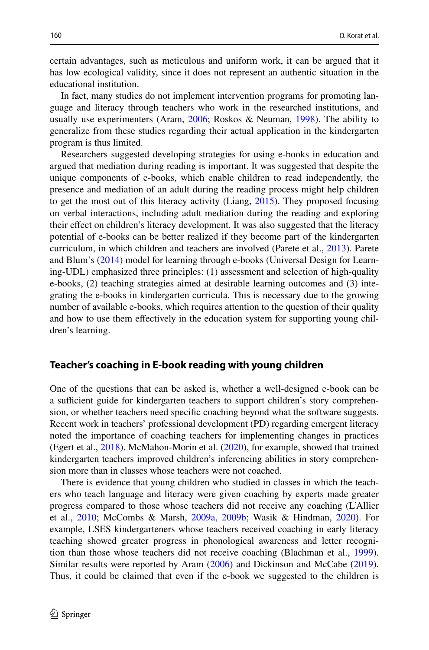certain advantages, such as meticulous and uniform work, it can be argued that it has low ecological validity, since it does not represent an authentic situation in the educational institution.

In fact, many studies do not implement intervention programs for promoting language and literacy through teachers who work in the researched institutions, and usually use experimenters (Aram, [2006;](#page-18-12) Roskos & Neuman, [1998\)](#page-19-14). The ability to generalize from these studies regarding their actual application in the kindergarten program is thus limited.

Researchers suggested developing strategies for using e-books in education and argued that mediation during reading is important. It was suggested that despite the unique components of e-books, which enable children to read independently, the presence and mediation of an adult during the reading process might help children to get the most out of this literacy activity (Liang, [2015](#page-19-15)). They proposed focusing on verbal interactions, including adult mediation during the reading and exploring their efect on children's literacy development. It was also suggested that the literacy potential of e-books can be better realized if they become part of the kindergarten curriculum, in which children and teachers are involved (Parete et al., [2013\)](#page-19-16). Parete and Blum's ([2014\)](#page-18-13) model for learning through e-books (Universal Design for Learning-UDL) emphasized three principles: (1) assessment and selection of high-quality e-books, (2) teaching strategies aimed at desirable learning outcomes and (3) integrating the e-books in kindergarten curricula. This is necessary due to the growing number of available e-books, which requires attention to the question of their quality and how to use them efectively in the education system for supporting young children's learning.

### **Teacher's coaching in E‑book reading with young children**

One of the questions that can be asked is, whether a well-designed e-book can be a sufficient guide for kindergarten teachers to support children's story comprehension, or whether teachers need specifc coaching beyond what the software suggests. Recent work in teachers' professional development (PD) regarding emergent literacy noted the importance of coaching teachers for implementing changes in practices (Egert et al., [2018](#page-18-14)). McMahon-Morin et al. [\(2020](#page-19-17)), for example, showed that trained kindergarten teachers improved children's inferencing abilities in story comprehension more than in classes whose teachers were not coached.

There is evidence that young children who studied in classes in which the teachers who teach language and literacy were given coaching by experts made greater progress compared to those whose teachers did not receive any coaching (L'Allier et al., [2010;](#page-18-15) McCombs & Marsh, [2009a,](#page-19-18) [2009b](#page-19-19); Wasik & Hindman, [2020](#page-20-9)). For example, LSES kindergarteners whose teachers received coaching in early literacy teaching showed greater progress in phonological awareness and letter recognition than those whose teachers did not receive coaching (Blachman et al., [1999\)](#page-18-13). Similar results were reported by Aram [\(2006](#page-18-12)) and Dickinson and McCabe ([2019\)](#page-17-0). Thus, it could be claimed that even if the e-book we suggested to the children is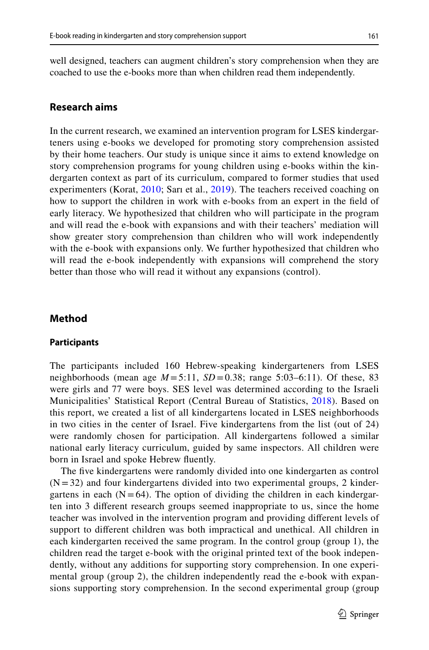well designed, teachers can augment children's story comprehension when they are coached to use the e-books more than when children read them independently.

# **Research aims**

In the current research, we examined an intervention program for LSES kindergarteners using e-books we developed for promoting story comprehension assisted by their home teachers. Our study is unique since it aims to extend knowledge on story comprehension programs for young children using e-books within the kindergarten context as part of its curriculum, compared to former studies that used experimenters (Korat, [2010](#page-18-9); Sarı et al., [2019\)](#page-19-20). The teachers received coaching on how to support the children in work with e-books from an expert in the feld of early literacy. We hypothesized that children who will participate in the program and will read the e-book with expansions and with their teachers' mediation will show greater story comprehension than children who will work independently with the e-book with expansions only. We further hypothesized that children who will read the e-book independently with expansions will comprehend the story better than those who will read it without any expansions (control).

### **Method**

#### **Participants**

The participants included 160 Hebrew-speaking kindergarteners from LSES neighborhoods (mean age  $M = 5:11$ ,  $SD = 0.38$ ; range 5:03–6:11). Of these, 83 were girls and 77 were boys. SES level was determined according to the Israeli Municipalities' Statistical Report (Central Bureau of Statistics, [2018](#page-18-16)). Based on this report, we created a list of all kindergartens located in LSES neighborhoods in two cities in the center of Israel. Five kindergartens from the list (out of 24) were randomly chosen for participation. All kindergartens followed a similar national early literacy curriculum, guided by same inspectors. All children were born in Israel and spoke Hebrew fuently.

The five kindergartens were randomly divided into one kindergarten as control  $(N = 32)$  and four kindergartens divided into two experimental groups, 2 kindergartens in each  $(N = 64)$ . The option of dividing the children in each kindergarten into 3 diferent research groups seemed inappropriate to us, since the home teacher was involved in the intervention program and providing diferent levels of support to diferent children was both impractical and unethical. All children in each kindergarten received the same program. In the control group (group 1), the children read the target e-book with the original printed text of the book independently, without any additions for supporting story comprehension. In one experimental group (group 2), the children independently read the e-book with expansions supporting story comprehension. In the second experimental group (group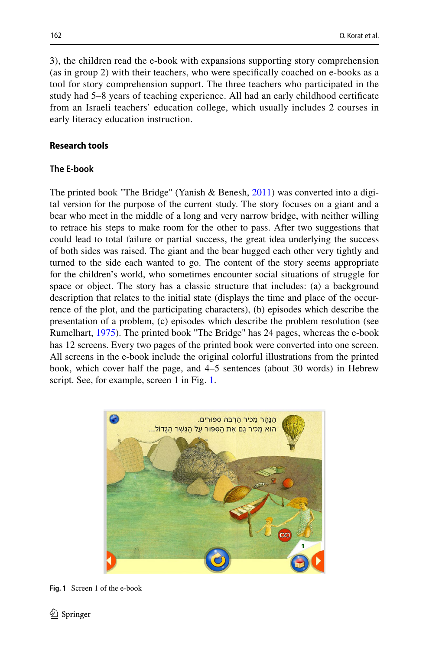3), the children read the e-book with expansions supporting story comprehension (as in group 2) with their teachers, who were specifcally coached on e-books as a tool for story comprehension support. The three teachers who participated in the study had 5–8 years of teaching experience. All had an early childhood certifcate from an Israeli teachers' education college, which usually includes 2 courses in early literacy education instruction.

## **Research tools**

### **The E‑book**

The printed book "The Bridge" (Yanish & Benesh,  $2011$ ) was converted into a digital version for the purpose of the current study. The story focuses on a giant and a bear who meet in the middle of a long and very narrow bridge, with neither willing to retrace his steps to make room for the other to pass. After two suggestions that could lead to total failure or partial success, the great idea underlying the success of both sides was raised. The giant and the bear hugged each other very tightly and turned to the side each wanted to go. The content of the story seems appropriate for the children's world, who sometimes encounter social situations of struggle for space or object. The story has a classic structure that includes: (a) a background description that relates to the initial state (displays the time and place of the occurrence of the plot, and the participating characters), (b) episodes which describe the presentation of a problem, (c) episodes which describe the problem resolution (see Rumelhart, [1975](#page-19-21)). The printed book "The Bridge" has 24 pages, whereas the e-book has 12 screens. Every two pages of the printed book were converted into one screen. All screens in the e-book include the original colorful illustrations from the printed book, which cover half the page, and 4–5 sentences (about 30 words) in Hebrew script. See, for example, screen [1](#page-7-0) in Fig. 1.



<span id="page-7-0"></span>**Fig. 1** Screen 1 of the e-book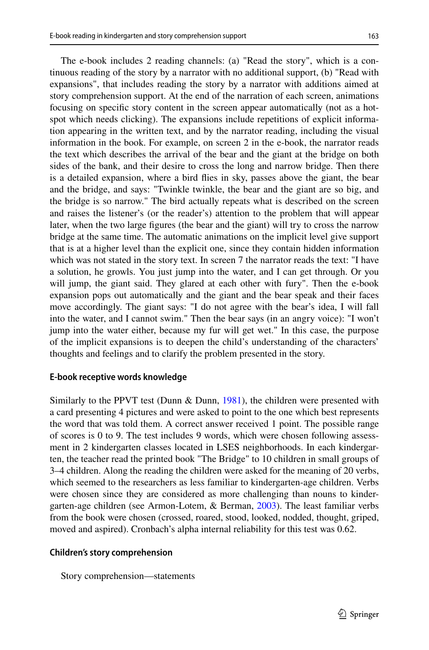The e-book includes 2 reading channels: (a) "Read the story", which is a continuous reading of the story by a narrator with no additional support, (b) "Read with expansions", that includes reading the story by a narrator with additions aimed at story comprehension support. At the end of the narration of each screen, animations focusing on specifc story content in the screen appear automatically (not as a hotspot which needs clicking). The expansions include repetitions of explicit information appearing in the written text, and by the narrator reading, including the visual information in the book. For example, on screen 2 in the e-book, the narrator reads the text which describes the arrival of the bear and the giant at the bridge on both sides of the bank, and their desire to cross the long and narrow bridge. Then there is a detailed expansion, where a bird fies in sky, passes above the giant, the bear and the bridge, and says: "Twinkle twinkle, the bear and the giant are so big, and the bridge is so narrow." The bird actually repeats what is described on the screen and raises the listener's (or the reader's) attention to the problem that will appear later, when the two large fgures (the bear and the giant) will try to cross the narrow bridge at the same time. The automatic animations on the implicit level give support that is at a higher level than the explicit one, since they contain hidden information which was not stated in the story text. In screen 7 the narrator reads the text: "I have a solution, he growls. You just jump into the water, and I can get through. Or you will jump, the giant said. They glared at each other with fury". Then the e-book expansion pops out automatically and the giant and the bear speak and their faces move accordingly. The giant says: "I do not agree with the bear's idea, I will fall into the water, and I cannot swim." Then the bear says (in an angry voice): "I won't jump into the water either, because my fur will get wet." In this case, the purpose of the implicit expansions is to deepen the child's understanding of the characters' thoughts and feelings and to clarify the problem presented in the story.

## **E‑book receptive words knowledge**

Similarly to the PPVT test (Dunn  $\&$  Dunn, [1981\)](#page-18-17), the children were presented with a card presenting 4 pictures and were asked to point to the one which best represents the word that was told them. A correct answer received 1 point. The possible range of scores is 0 to 9. The test includes 9 words, which were chosen following assessment in 2 kindergarten classes located in LSES neighborhoods. In each kindergarten, the teacher read the printed book "The Bridge" to 10 children in small groups of 3–4 children. Along the reading the children were asked for the meaning of 20 verbs, which seemed to the researchers as less familiar to kindergarten-age children. Verbs were chosen since they are considered as more challenging than nouns to kindergarten-age children (see Armon-Lotem, & Berman, [2003](#page-18-18)). The least familiar verbs from the book were chosen (crossed, roared, stood, looked, nodded, thought, griped, moved and aspired). Cronbach's alpha internal reliability for this test was 0.62.

#### **Children's story comprehension**

Story comprehension—statements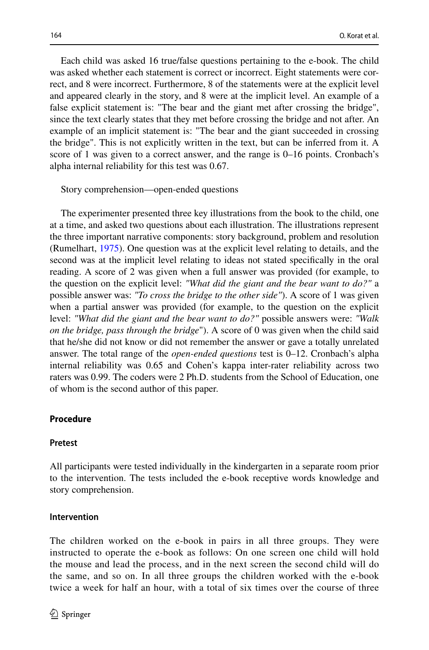Each child was asked 16 true/false questions pertaining to the e-book. The child was asked whether each statement is correct or incorrect. Eight statements were correct, and 8 were incorrect. Furthermore, 8 of the statements were at the explicit level and appeared clearly in the story, and 8 were at the implicit level. An example of a false explicit statement is: "The bear and the giant met after crossing the bridge", since the text clearly states that they met before crossing the bridge and not after. An example of an implicit statement is: "The bear and the giant succeeded in crossing the bridge". This is not explicitly written in the text, but can be inferred from it. A score of 1 was given to a correct answer, and the range is 0–16 points. Cronbach's alpha internal reliability for this test was 0.67.

#### Story comprehension—open-ended questions

The experimenter presented three key illustrations from the book to the child, one at a time, and asked two questions about each illustration. The illustrations represent the three important narrative components: story background, problem and resolution (Rumelhart, [1975\)](#page-19-21). One question was at the explicit level relating to details, and the second was at the implicit level relating to ideas not stated specifcally in the oral reading. A score of 2 was given when a full answer was provided (for example, to the question on the explicit level: *"What did the giant and the bear want to do?"* a possible answer was: *"To cross the bridge to the other side"*). A score of 1 was given when a partial answer was provided (for example, to the question on the explicit level: *"What did the giant and the bear want to do?"* possible answers were: *"Walk on the bridge, pass through the bridge*"). A score of 0 was given when the child said that he/she did not know or did not remember the answer or gave a totally unrelated answer. The total range of the *open-ended questions* test is 0–12. Cronbach's alpha internal reliability was 0.65 and Cohen's kappa inter-rater reliability across two raters was 0.99. The coders were 2 Ph.D. students from the School of Education, one of whom is the second author of this paper.

## **Procedure**

#### **Pretest**

All participants were tested individually in the kindergarten in a separate room prior to the intervention. The tests included the e-book receptive words knowledge and story comprehension.

#### **Intervention**

The children worked on the e-book in pairs in all three groups. They were instructed to operate the e-book as follows: On one screen one child will hold the mouse and lead the process, and in the next screen the second child will do the same, and so on. In all three groups the children worked with the e-book twice a week for half an hour, with a total of six times over the course of three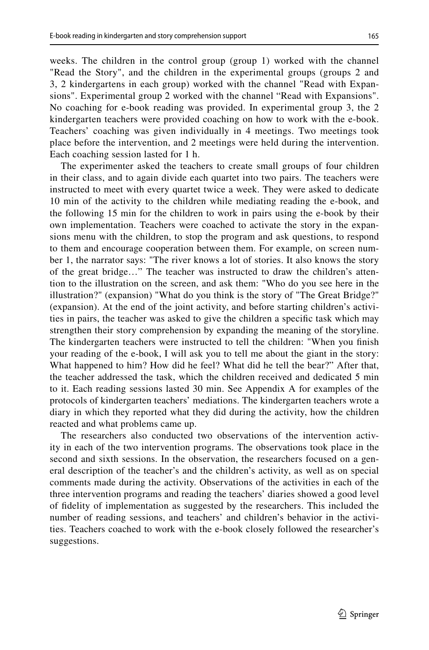weeks. The children in the control group (group 1) worked with the channel "Read the Story", and the children in the experimental groups (groups 2 and 3, 2 kindergartens in each group) worked with the channel "Read with Expansions". Experimental group 2 worked with the channel "Read with Expansions". No coaching for e-book reading was provided. In experimental group 3, the 2 kindergarten teachers were provided coaching on how to work with the e-book. Teachers' coaching was given individually in 4 meetings. Two meetings took place before the intervention, and 2 meetings were held during the intervention. Each coaching session lasted for 1 h.

The experimenter asked the teachers to create small groups of four children in their class, and to again divide each quartet into two pairs. The teachers were instructed to meet with every quartet twice a week. They were asked to dedicate 10 min of the activity to the children while mediating reading the e-book, and the following 15 min for the children to work in pairs using the e-book by their own implementation. Teachers were coached to activate the story in the expansions menu with the children, to stop the program and ask questions, to respond to them and encourage cooperation between them. For example, on screen number 1, the narrator says: "The river knows a lot of stories. It also knows the story of the great bridge…" The teacher was instructed to draw the children's attention to the illustration on the screen, and ask them: "Who do you see here in the illustration?" (expansion) "What do you think is the story of "The Great Bridge?" (expansion). At the end of the joint activity, and before starting children's activities in pairs, the teacher was asked to give the children a specifc task which may strengthen their story comprehension by expanding the meaning of the storyline. The kindergarten teachers were instructed to tell the children: "When you fnish your reading of the e-book, I will ask you to tell me about the giant in the story: What happened to him? How did he feel? What did he tell the bear?" After that, the teacher addressed the task, which the children received and dedicated 5 min to it. Each reading sessions lasted 30 min. See Appendix A for examples of the protocols of kindergarten teachers' mediations. The kindergarten teachers wrote a diary in which they reported what they did during the activity, how the children reacted and what problems came up.

The researchers also conducted two observations of the intervention activity in each of the two intervention programs. The observations took place in the second and sixth sessions. In the observation, the researchers focused on a general description of the teacher's and the children's activity, as well as on special comments made during the activity. Observations of the activities in each of the three intervention programs and reading the teachers' diaries showed a good level of fdelity of implementation as suggested by the researchers. This included the number of reading sessions, and teachers' and children's behavior in the activities. Teachers coached to work with the e-book closely followed the researcher's suggestions.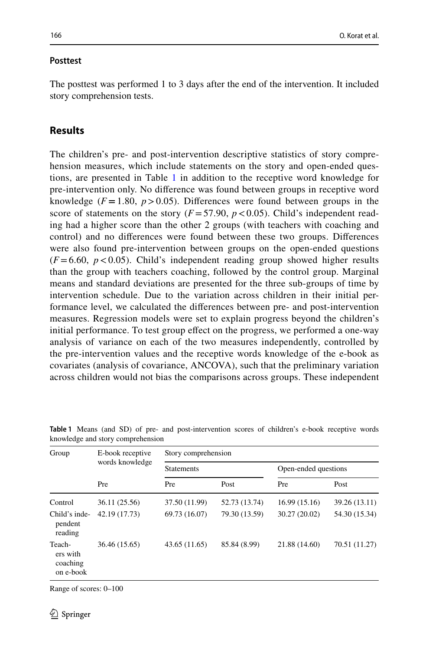#### **Posttest**

The posttest was performed 1 to 3 days after the end of the intervention. It included story comprehension tests.

# **Results**

The children's pre- and post-intervention descriptive statistics of story comprehension measures, which include statements on the story and open-ended questions, are presented in Table [1](#page-11-0) in addition to the receptive word knowledge for pre-intervention only. No diference was found between groups in receptive word knowledge ( $F = 1.80$ ,  $p > 0.05$ ). Differences were found between groups in the score of statements on the story  $(F = 57.90, p < 0.05)$ . Child's independent reading had a higher score than the other 2 groups (with teachers with coaching and control) and no diferences were found between these two groups. Diferences were also found pre-intervention between groups on the open-ended questions  $(F=6.60, p<0.05)$ . Child's independent reading group showed higher results than the group with teachers coaching, followed by the control group. Marginal means and standard deviations are presented for the three sub-groups of time by intervention schedule. Due to the variation across children in their initial performance level, we calculated the diferences between pre- and post-intervention measures. Regression models were set to explain progress beyond the children's initial performance. To test group efect on the progress, we performed a one-way analysis of variance on each of the two measures independently, controlled by the pre-intervention values and the receptive words knowledge of the e-book as covariates (analysis of covariance, ANCOVA), such that the preliminary variation across children would not bias the comparisons across groups. These independent

| Group                                       | E-book receptive | Story comprehension |               |                      |               |  |  |  |
|---------------------------------------------|------------------|---------------------|---------------|----------------------|---------------|--|--|--|
|                                             | words knowledge  | <b>Statements</b>   |               | Open-ended questions |               |  |  |  |
|                                             | Pre              | Pre                 | Post          | Pre                  | Post          |  |  |  |
| Control                                     | 36.11 (25.56)    | 37.50 (11.99)       | 52.73 (13.74) | 16.99(15.16)         | 39.26 (13.11) |  |  |  |
| Child's inde-<br>pendent<br>reading         | 42.19 (17.73)    | 69.73 (16.07)       | 79.30 (13.59) | 30.27 (20.02)        | 54.30 (15.34) |  |  |  |
| Teach-<br>ers with<br>coaching<br>on e-book | 36.46 (15.65)    | 43.65 (11.65)       | 85.84 (8.99)  | 21.88 (14.60)        | 70.51 (11.27) |  |  |  |

<span id="page-11-0"></span>**Table 1** Means (and SD) of pre- and post-intervention scores of children's e-book receptive words knowledge and story comprehension

Range of scores: 0–100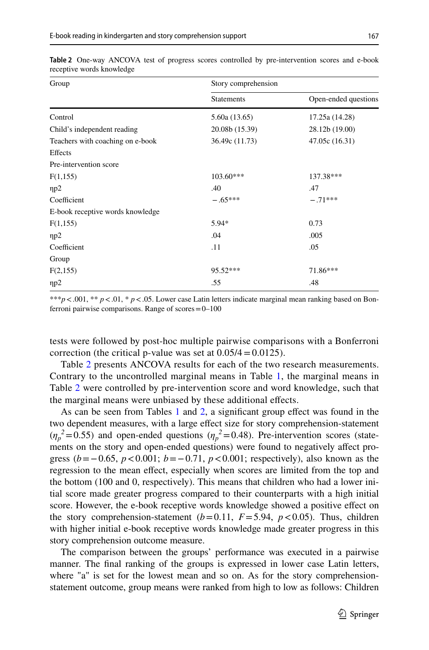| Group                            | Story comprehension |                      |  |  |  |
|----------------------------------|---------------------|----------------------|--|--|--|
|                                  | <b>Statements</b>   | Open-ended questions |  |  |  |
| Control                          | 5.60a (13.65)       | 17.25a (14.28)       |  |  |  |
| Child's independent reading      | 20.08b (15.39)      | 28.12b (19.00)       |  |  |  |
| Teachers with coaching on e-book | 36.49c (11.73)      | 47.05c (16.31)       |  |  |  |
| Effects                          |                     |                      |  |  |  |
| Pre-intervention score           |                     |                      |  |  |  |
| F(1,155)                         | $103.60***$         | 137.38***            |  |  |  |
| $\eta p2$                        | .40                 | .47                  |  |  |  |
| Coefficient                      | $-.65***$           | $-.71***$            |  |  |  |
| E-book receptive words knowledge |                     |                      |  |  |  |
| F(1,155)                         | 5.94*               | 0.73                 |  |  |  |
| np2                              | .04                 | .005                 |  |  |  |
| Coefficient                      | .11                 | .05                  |  |  |  |
| Group                            |                     |                      |  |  |  |
| F(2,155)                         | 95.52***            | 71.86***             |  |  |  |
| $\eta p2$                        | .55                 | .48                  |  |  |  |

<span id="page-12-0"></span>

|  |                           |  |  | <b>Table 2</b> One-way ANCOVA test of progress scores controlled by pre-intervention scores and e-book |  |  |
|--|---------------------------|--|--|--------------------------------------------------------------------------------------------------------|--|--|
|  | receptive words knowledge |  |  |                                                                                                        |  |  |

\*\*\**p* <.001, \*\* *p* <.01, \* *p* <.05. Lower case Latin letters indicate marginal mean ranking based on Bonferroni pairwise comparisons. Range of scores=0–100

tests were followed by post-hoc multiple pairwise comparisons with a Bonferroni correction (the critical p-value was set at  $0.05/4 = 0.0125$ ).

Table [2](#page-12-0) presents ANCOVA results for each of the two research measurements. Contrary to the uncontrolled marginal means in Table [1](#page-11-0), the marginal means in Table [2](#page-12-0) were controlled by pre-intervention score and word knowledge, such that the marginal means were unbiased by these additional efects.

As can be seen from Tables [1](#page-11-0) and [2](#page-12-0), a signifcant group efect was found in the two dependent measures, with a large effect size for story comprehension-statement  $(\eta_p^2 = 0.55)$  and open-ended questions  $(\eta_p^2 = 0.48)$ . Pre-intervention scores (statements on the story and open-ended questions) were found to negatively afect progress (*b*=−0.65, *p*<0.001; *b*=−0.71, *p*<0.001; respectively), also known as the regression to the mean efect, especially when scores are limited from the top and the bottom (100 and 0, respectively). This means that children who had a lower initial score made greater progress compared to their counterparts with a high initial score. However, the e-book receptive words knowledge showed a positive efect on the story comprehension-statement  $(b=0.11, F=5.94, p<0.05)$ . Thus, children with higher initial e-book receptive words knowledge made greater progress in this story comprehension outcome measure.

The comparison between the groups' performance was executed in a pairwise manner. The fnal ranking of the groups is expressed in lower case Latin letters, where "a" is set for the lowest mean and so on. As for the story comprehensionstatement outcome, group means were ranked from high to low as follows: Children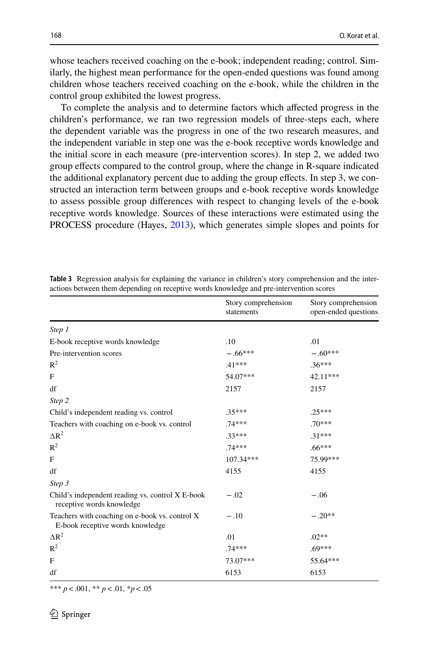whose teachers received coaching on the e-book; independent reading; control. Similarly, the highest mean performance for the open-ended questions was found among children whose teachers received coaching on the e-book, while the children in the control group exhibited the lowest progress.

To complete the analysis and to determine factors which afected progress in the children's performance, we ran two regression models of three-steps each, where the dependent variable was the progress in one of the two research measures, and the independent variable in step one was the e-book receptive words knowledge and the initial score in each measure (pre-intervention scores). In step 2, we added two group efects compared to the control group, where the change in R-square indicated the additional explanatory percent due to adding the group efects. In step 3, we constructed an interaction term between groups and e-book receptive words knowledge to assess possible group diferences with respect to changing levels of the e-book receptive words knowledge. Sources of these interactions were estimated using the PROCESS procedure (Hayes, [2013\)](#page-18-19), which generates simple slopes and points for

|                                                                                    | Story comprehension<br>statements | Story comprehension<br>open-ended questions |
|------------------------------------------------------------------------------------|-----------------------------------|---------------------------------------------|
| Step 1                                                                             |                                   |                                             |
| E-book receptive words knowledge                                                   | .10                               | .01                                         |
| Pre-intervention scores                                                            | $-.66***$                         | $-.60***$                                   |
| $R^2$                                                                              | $.41***$                          | $.36***$                                    |
| F                                                                                  | 54.07***                          | 42.11***                                    |
| df                                                                                 | 2157                              | 2157                                        |
| Step 2                                                                             |                                   |                                             |
| Child's independent reading vs. control                                            | $.35***$                          | $.25***$                                    |
| Teachers with coaching on e-book vs. control                                       | $.74***$                          | $.70***$                                    |
| $\Delta R^2$                                                                       | $.33***$                          | $.31***$                                    |
| $R^2$                                                                              | 74 ***                            | $.66***$                                    |
| F                                                                                  | 107.34***                         | 75.99***                                    |
| df                                                                                 | 4155                              | 4155                                        |
| Step 3                                                                             |                                   |                                             |
| Child's independent reading vs. control X E-book<br>receptive words knowledge      | $-.02$                            | $-.06$                                      |
| Teachers with coaching on e-book vs. control X<br>E-book receptive words knowledge | $-.10$                            | $-.20**$                                    |
| $\Delta R^2$                                                                       | .01                               | $.02**$                                     |
| $R^2$                                                                              | $.74***$                          | $.69***$                                    |
| F                                                                                  | 73.07***                          | 55.64***                                    |
| df                                                                                 | 6153                              | 6153                                        |

<span id="page-13-0"></span>**Table 3** Regression analysis for explaining the variance in children's story comprehension and the interactions between them depending on receptive words knowledge and pre-intervention scores

\*\*\* *p*<.001, \*\* *p*<.01, \**p*<.05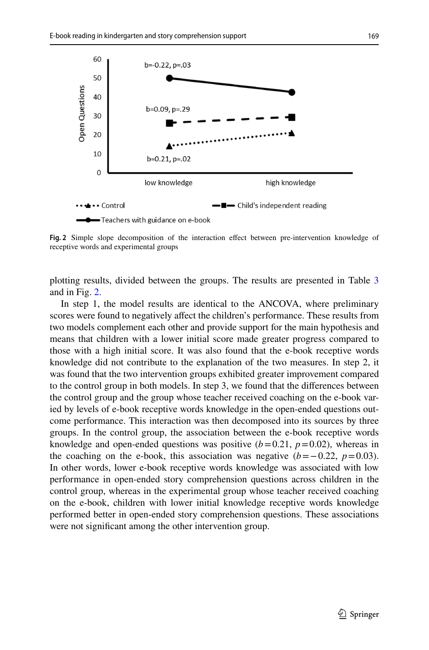

<span id="page-14-0"></span>**Fig. 2** Simple slope decomposition of the interaction efect between pre-intervention knowledge of receptive words and experimental groups

plotting results, divided between the groups. The results are presented in Table [3](#page-13-0) and in Fig. [2.](#page-14-0)

In step 1, the model results are identical to the ANCOVA, where preliminary scores were found to negatively afect the children's performance. These results from two models complement each other and provide support for the main hypothesis and means that children with a lower initial score made greater progress compared to those with a high initial score. It was also found that the e-book receptive words knowledge did not contribute to the explanation of the two measures. In step 2, it was found that the two intervention groups exhibited greater improvement compared to the control group in both models. In step 3, we found that the diferences between the control group and the group whose teacher received coaching on the e-book varied by levels of e-book receptive words knowledge in the open-ended questions outcome performance. This interaction was then decomposed into its sources by three groups. In the control group, the association between the e-book receptive words knowledge and open-ended questions was positive  $(b=0.21, p=0.02)$ , whereas in the coaching on the e-book, this association was negative  $(b=-0.22, p=0.03)$ . In other words, lower e-book receptive words knowledge was associated with low performance in open-ended story comprehension questions across children in the control group, whereas in the experimental group whose teacher received coaching on the e-book, children with lower initial knowledge receptive words knowledge performed better in open-ended story comprehension questions. These associations were not signifcant among the other intervention group.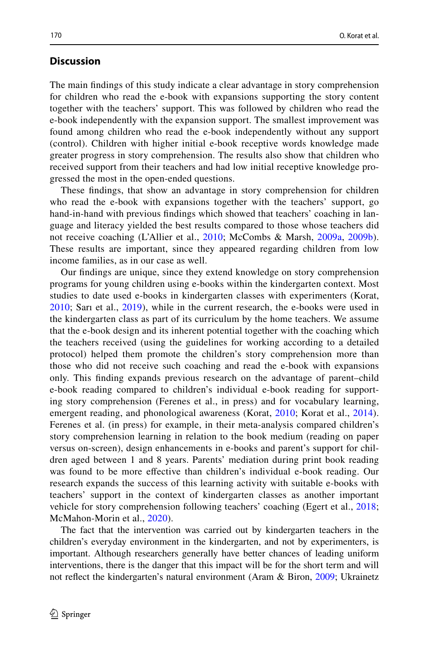# **Discussion**

The main fndings of this study indicate a clear advantage in story comprehension for children who read the e-book with expansions supporting the story content together with the teachers' support. This was followed by children who read the e-book independently with the expansion support. The smallest improvement was found among children who read the e-book independently without any support (control). Children with higher initial e-book receptive words knowledge made greater progress in story comprehension. The results also show that children who received support from their teachers and had low initial receptive knowledge progressed the most in the open-ended questions.

These fndings, that show an advantage in story comprehension for children who read the e-book with expansions together with the teachers' support, go hand-in-hand with previous fndings which showed that teachers' coaching in language and literacy yielded the best results compared to those whose teachers did not receive coaching (L'Allier et al., [2010](#page-18-15); McCombs & Marsh, [2009a](#page-19-18), [2009b](#page-19-19)). These results are important, since they appeared regarding children from low income families, as in our case as well.

Our fndings are unique, since they extend knowledge on story comprehension programs for young children using e-books within the kindergarten context. Most studies to date used e-books in kindergarten classes with experimenters (Korat, [2010;](#page-18-9) Sarı et al., [2019\)](#page-19-20), while in the current research, the e-books were used in the kindergarten class as part of its curriculum by the home teachers. We assume that the e-book design and its inherent potential together with the coaching which the teachers received (using the guidelines for working according to a detailed protocol) helped them promote the children's story comprehension more than those who did not receive such coaching and read the e-book with expansions only. This fnding expands previous research on the advantage of parent–child e-book reading compared to children's individual e-book reading for supporting story comprehension (Ferenes et al., in press) and for vocabulary learning, emergent reading, and phonological awareness (Korat, [2010](#page-18-9); Korat et al., [2014](#page-18-20)). Ferenes et al. (in press) for example, in their meta-analysis compared children's story comprehension learning in relation to the book medium (reading on paper versus on-screen), design enhancements in e-books and parent's support for children aged between 1 and 8 years. Parents' mediation during print book reading was found to be more efective than children's individual e-book reading. Our research expands the success of this learning activity with suitable e-books with teachers' support in the context of kindergarten classes as another important vehicle for story comprehension following teachers' coaching (Egert et al., [2018;](#page-18-14) McMahon-Morin et al., [2020\)](#page-19-17).

The fact that the intervention was carried out by kindergarten teachers in the children's everyday environment in the kindergarten, and not by experimenters, is important. Although researchers generally have better chances of leading uniform interventions, there is the danger that this impact will be for the short term and will not refect the kindergarten's natural environment (Aram & Biron, [2009](#page-18-21); Ukrainetz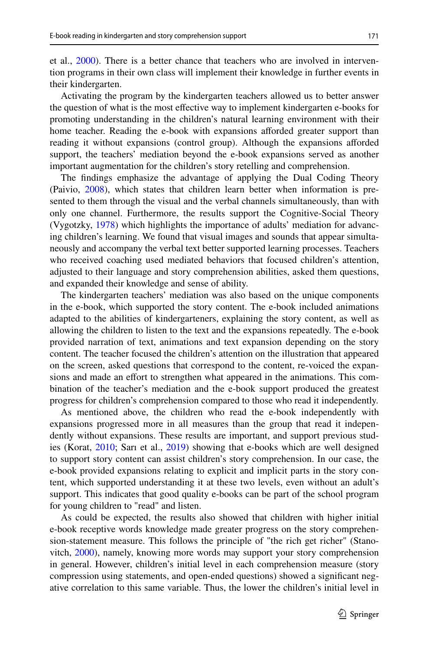et al., [2000\)](#page-20-11). There is a better chance that teachers who are involved in intervention programs in their own class will implement their knowledge in further events in their kindergarten.

Activating the program by the kindergarten teachers allowed us to better answer the question of what is the most efective way to implement kindergarten e-books for promoting understanding in the children's natural learning environment with their home teacher. Reading the e-book with expansions aforded greater support than reading it without expansions (control group). Although the expansions aforded support, the teachers' mediation beyond the e-book expansions served as another important augmentation for the children's story retelling and comprehension.

The fndings emphasize the advantage of applying the Dual Coding Theory (Paivio, [2008](#page-19-7)), which states that children learn better when information is presented to them through the visual and the verbal channels simultaneously, than with only one channel. Furthermore, the results support the Cognitive-Social Theory (Vygotzky, [1978\)](#page-20-8) which highlights the importance of adults' mediation for advancing children's learning. We found that visual images and sounds that appear simultaneously and accompany the verbal text better supported learning processes. Teachers who received coaching used mediated behaviors that focused children's attention, adjusted to their language and story comprehension abilities, asked them questions, and expanded their knowledge and sense of ability.

The kindergarten teachers' mediation was also based on the unique components in the e-book, which supported the story content. The e-book included animations adapted to the abilities of kindergarteners, explaining the story content, as well as allowing the children to listen to the text and the expansions repeatedly. The e-book provided narration of text, animations and text expansion depending on the story content. The teacher focused the children's attention on the illustration that appeared on the screen, asked questions that correspond to the content, re-voiced the expansions and made an effort to strengthen what appeared in the animations. This combination of the teacher's mediation and the e-book support produced the greatest progress for children's comprehension compared to those who read it independently.

As mentioned above, the children who read the e-book independently with expansions progressed more in all measures than the group that read it independently without expansions. These results are important, and support previous studies (Korat, [2010;](#page-18-9) Sarı et al., [2019](#page-19-20)) showing that e-books which are well designed to support story content can assist children's story comprehension. In our case, the e-book provided expansions relating to explicit and implicit parts in the story content, which supported understanding it at these two levels, even without an adult's support. This indicates that good quality e-books can be part of the school program for young children to "read" and listen.

As could be expected, the results also showed that children with higher initial e-book receptive words knowledge made greater progress on the story comprehension-statement measure. This follows the principle of "the rich get richer" (Stanovitch, [2000\)](#page-20-12), namely, knowing more words may support your story comprehension in general. However, children's initial level in each comprehension measure (story compression using statements, and open-ended questions) showed a signifcant negative correlation to this same variable. Thus, the lower the children's initial level in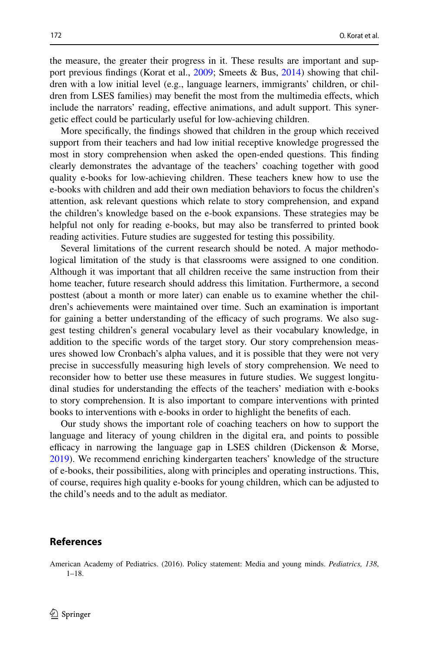the measure, the greater their progress in it. These results are important and sup-port previous findings (Korat et al., [2009](#page-18-22); Smeets & Bus, [2014\)](#page-20-13) showing that children with a low initial level (e.g., language learners, immigrants' children, or children from LSES families) may beneft the most from the multimedia efects, which include the narrators' reading, effective animations, and adult support. This synergetic efect could be particularly useful for low-achieving children.

More specifcally, the fndings showed that children in the group which received support from their teachers and had low initial receptive knowledge progressed the most in story comprehension when asked the open-ended questions. This fnding clearly demonstrates the advantage of the teachers' coaching together with good quality e-books for low-achieving children. These teachers knew how to use the e-books with children and add their own mediation behaviors to focus the children's attention, ask relevant questions which relate to story comprehension, and expand the children's knowledge based on the e-book expansions. These strategies may be helpful not only for reading e-books, but may also be transferred to printed book reading activities. Future studies are suggested for testing this possibility.

Several limitations of the current research should be noted. A major methodological limitation of the study is that classrooms were assigned to one condition. Although it was important that all children receive the same instruction from their home teacher, future research should address this limitation. Furthermore, a second posttest (about a month or more later) can enable us to examine whether the children's achievements were maintained over time. Such an examination is important for gaining a better understanding of the efficacy of such programs. We also suggest testing children's general vocabulary level as their vocabulary knowledge, in addition to the specifc words of the target story. Our story comprehension measures showed low Cronbach's alpha values, and it is possible that they were not very precise in successfully measuring high levels of story comprehension. We need to reconsider how to better use these measures in future studies. We suggest longitudinal studies for understanding the efects of the teachers' mediation with e-books to story comprehension. It is also important to compare interventions with printed books to interventions with e-books in order to highlight the benefts of each.

Our study shows the important role of coaching teachers on how to support the language and literacy of young children in the digital era, and points to possible efficacy in narrowing the language gap in LSES children (Dickenson  $\&$  Morse, [2019](#page-18-1)). We recommend enriching kindergarten teachers' knowledge of the structure of e-books, their possibilities, along with principles and operating instructions. This, of course, requires high quality e-books for young children, which can be adjusted to the child's needs and to the adult as mediator.

# **References**

<span id="page-17-0"></span>American Academy of Pediatrics. (2016). Policy statement: Media and young minds. *Pediatrics, 138*, 1–18.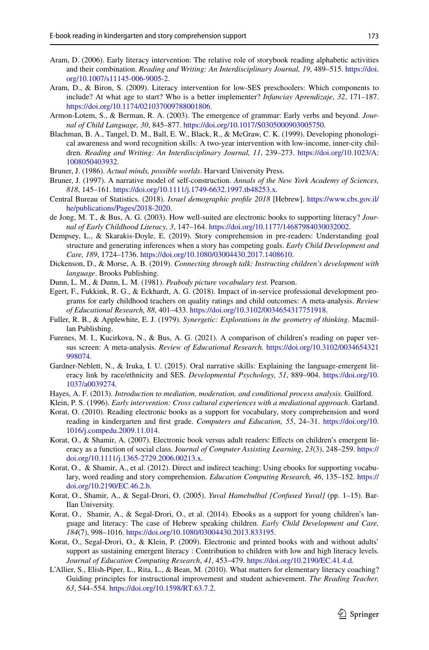- <span id="page-18-12"></span>Aram, D. (2006). Early literacy intervention: The relative role of storybook reading alphabetic activities and their combination. *Reading and Writing: An Interdisciplinary Journal, 19*, 489–515. [https://doi.](https://doi.org/10.1007/s11145-006-9005-2) [org/10.1007/s11145-006-9005-2](https://doi.org/10.1007/s11145-006-9005-2).
- <span id="page-18-21"></span>Aram, D., & Biron, S. (2009). Literacy intervention for low-SES preschoolers: Which components to include? At what age to start? Who is a better implementer? *Infanciay Aprendizaje*, *32*, 171–187. <https://doi.org/10.1174/021037009788001806>.
- <span id="page-18-18"></span>Armon-Lotem, S., & Berman, R. A. (2003). The emergence of grammar: Early verbs and beyond. *Journal of Child Language, 30*, 845–877. [https://doi.org/10.1017/S0305000903005750.](https://doi.org/10.1017/S0305000903005750)
- <span id="page-18-13"></span>Blachman, B. A., Tangel, D. M., Ball, E. W., Black, R., & McGraw, C. K. (1999). Developing phonological awareness and word recognition skills: A two-year intervention with low-income, inner-city children. *Reading and Writing: An Interdisciplinary Journal, 11*, 239–273. [https://doi.org/10.1023/A:](https://doi.org/10.1023/A:1008050403932) [1008050403932](https://doi.org/10.1023/A:1008050403932).
- <span id="page-18-0"></span>Bruner, J. (1986). *Actual minds, possible worlds*. Harvard University Press.
- <span id="page-18-4"></span>Bruner, J. (1997). A narrative model of self-construction. *Annals of the New York Academy of Sciences, 818*, 145–161. [https://doi.org/10.1111/j.1749-6632.1997.tb48253.x.](https://doi.org/10.1111/j.1749-6632.1997.tb48253.x)
- <span id="page-18-16"></span>Central Bureau of Statistics. (2018). *Israel demographic profle 2018* [Hebrew]. [https://www.cbs.gov.il/](https://www.cbs.gov.il/he/publications/Pages/2018-2020) [he/publications/Pages/2018-2020.](https://www.cbs.gov.il/he/publications/Pages/2018-2020)
- <span id="page-18-6"></span>de Jong, M. T., & Bus, A. G. (2003). How well-suited are electronic books to supporting literacy? *Journal of Early Childhood Literacy, 3*, 147–164. [https://doi.org/10.1177/14687984030032002.](https://doi.org/10.1177/14687984030032002)
- Dempsey, L., & Skarakis-Doyle, E. (2019). Story comprehension in pre-readers: Understanding goal structure and generating inferences when a story has competing goals. *Early Child Development and Care, 189*, 1724–1736. <https://doi.org/10.1080/03004430.2017.1408610>.
- <span id="page-18-1"></span>Dickenson, D., & Morse, A. B. (2019). *Connecting through talk: Instructing children's development with language*. Brooks Publishing.
- <span id="page-18-17"></span>Dunn, L. M., & Dunn, L. M. (1981). *Peabody picture vocabulary test.* Pearson.
- <span id="page-18-14"></span>Egert, F., Fukkink, R. G., & Eckhardt, A. G. (2018). Impact of in-service professional development programs for early childhood teachers on quality ratings and child outcomes: A meta-analysis. *Review of Educational Research, 88*, 401–433. <https://doi.org/10.3102/0034654317751918>.
- <span id="page-18-7"></span>Fuller, R. B., & Applewhite, E. J. (1979). *Synergetic: Explorations in the geometry of thinking*. Macmillan Publishing.
- <span id="page-18-5"></span>Furenes, M. I., Kucirkova, N., & Bus, A. G. (2021). A comparison of children's reading on paper versus screen: A meta-analysis. *Review of Educational Research.* [https://doi.org/10.3102/0034654321](https://doi.org/10.3102/0034654321998074) [998074](https://doi.org/10.3102/0034654321998074).
- <span id="page-18-2"></span>Gardner-Neblett, N., & Iruka, I. U. (2015). Oral narrative skills: Explaining the language-emergent literacy link by race/ethnicity and SES. *Developmental Psychology, 51*, 889–904. [https://doi.org/10.](https://doi.org/10.1037/a0039274) [1037/a0039274.](https://doi.org/10.1037/a0039274)
- <span id="page-18-19"></span>Hayes, A. F. (2013). *Introduction to mediation, moderation, and conditional process analysis.* Guilford.
- <span id="page-18-11"></span>Klein, P. S. (1996). *Early intervention: Cross cultural experiences with a mediational approach*. Garland.
- <span id="page-18-9"></span>Korat, O. (2010). Reading electronic books as a support for vocabulary, story comprehension and word reading in kindergarten and frst grade. *Computers and Education, 55*, 24–31. [https://doi.org/10.](https://doi.org/10.1016/j.compedu.2009.11.014) [1016/j.compedu.2009.11.014.](https://doi.org/10.1016/j.compedu.2009.11.014)
- <span id="page-18-8"></span>Korat, O., & Shamir, A. (2007). Electronic book versus adult readers: Efects on children's emergent literacy as a function of social class. Jo*urnal of Computer Assisting Learning*, *23*(3), 248–259. [https://](https://doi.org/10.1111/j.1365-2729.2006.00213.x) [doi.org/10.1111/j.1365-2729.2006.00213.x](https://doi.org/10.1111/j.1365-2729.2006.00213.x).
- <span id="page-18-3"></span>Korat, O., & Shamir, A., et al. (2012). Direct and indirect teaching: Using ebooks for supporting vocabulary, word reading and story comprehension. *Education Computing Research, 46*, 135–152. [https://](https://doi.org/10.2190/EC.46.2.b) [doi.org/10.2190/EC.46.2.b](https://doi.org/10.2190/EC.46.2.b).
- <span id="page-18-10"></span>Korat, O., Shamir, A., & Segal-Drori, O. (2005). *Yuval Hamebulbal [Confused Yuval]* (pp. 1–15). Bar-Ilan University.
- <span id="page-18-20"></span>Korat, O., Shamir, A., & Segal-Drori, O., et al. (2014). Ebooks as a support for young children's language and literacy: The case of Hebrew speaking children. *Early Child Development and Care, 184*(7), 998–1016. [https://doi.org/10.1080/03004430.2013.833195.](https://doi.org/10.1080/03004430.2013.833195)
- <span id="page-18-22"></span>Korat, O., Segal-Drori, O., & Klein, P. (2009). Electronic and printed books with and without adults' support as sustaining emergent literacy : Contribution to children with low and high literacy levels. *Journal of Education Computing Research*, *41*, 453–479. [https://doi.org/10.2190/EC.41.4.d.](https://doi.org/10.2190/EC.41.4.d+)
- <span id="page-18-15"></span>L'Allier, S., Elish-Piper, L., Rita, L., & Bean, M. (2010). What matters for elementary literacy coaching? Guiding principles for instructional improvement and student achievement. *The Reading Teacher, 63*, 544–554.<https://doi.org/10.1598/RT.63.7.2>.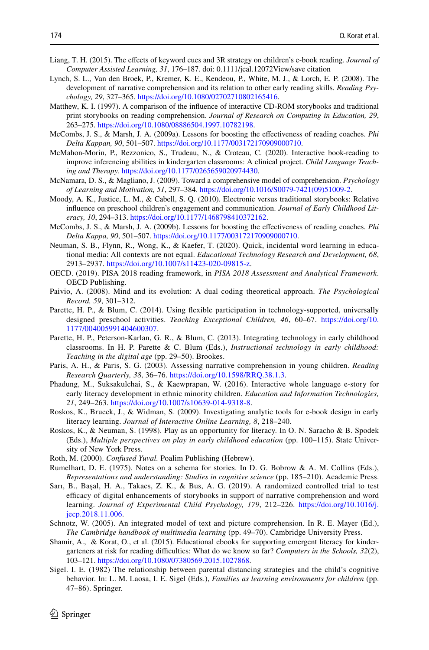- <span id="page-19-15"></span>Liang, T. H. (2015). The efects of keyword cues and 3R strategy on children's e-book reading. *Journal of Computer Assisted Learning, 31*, 176–187. doi: 0.1111/jcal.12072View/save citation
- <span id="page-19-0"></span>Lynch, S. L., Van den Broek, P., Kremer, K. E., Kendeou, P., White, M. J., & Lorch, E. P. (2008). The development of narrative comprehension and its relation to other early reading skills. *Reading Psychology, 29*, 327–365.<https://doi.org/10.1080/02702710802165416>.
- <span id="page-19-12"></span>Matthew, K. I. (1997). A comparison of the infuence of interactive CD-ROM storybooks and traditional print storybooks on reading comprehension. *Journal of Research on Computing in Education, 29*, 263–275.<https://doi.org/10.1080/08886504.1997.10782198>.
- <span id="page-19-18"></span>McCombs, J. S., & Marsh, J. A. (2009a). Lessons for boosting the efectiveness of reading coaches. *Phi Delta Kappan, 90*, 501–507. [https://doi.org/10.1177/003172170909000710.](https://doi.org/10.1177/003172170909000710)
- <span id="page-19-17"></span>McMahon-Morin, P., Rezzonico, S., Trudeau, N., & Croteau, C. (2020). Interactive book-reading to improve inferencing abilities in kindergarten classrooms: A clinical project. *Child Language Teaching and Therapy.* <https://doi.org/10.1177/0265659020974430>.
- <span id="page-19-2"></span>McNamara, D. S., & Magliano, J. (2009). Toward a comprehensive model of comprehension. *Psychology of Learning and Motivation, 51*, 297–384. [https://doi.org/10.1016/S0079-7421\(09\)51009-2](https://doi.org/10.1016/S0079-7421(09)51009-2).
- <span id="page-19-13"></span>Moody, A. K., Justice, L. M., & Cabell, S. Q. (2010). Electronic versus traditional storybooks: Relative infuence on preschool children's engagement and communication. *Journal of Early Childhood Literacy, 10*, 294–313. [https://doi.org/10.1177/1468798410372162.](https://doi.org/10.1177/1468798410372162)
- <span id="page-19-19"></span>McCombs, J. S., & Marsh, J. A. (2009b). Lessons for boosting the efectiveness of reading coaches. *Phi Delta Kappa, 90*, 501–507. [https://doi.org/10.1177/003172170909000710.](https://doi.org/10.1177/003172170909000710)
- <span id="page-19-9"></span>Neuman, S. B., Flynn, R., Wong, K., & Kaefer, T. (2020). Quick, incidental word learning in educational media: All contexts are not equal. *Educational Technology Research and Development, 68*, 2913–2937.<https://doi.org/10.1007/s11423-020-09815-z>.
- <span id="page-19-1"></span>OECD. (2019). PISA 2018 reading framework, in *PISA 2018 Assessment and Analytical Framework*. OECD Publishing.
- <span id="page-19-7"></span>Paivio, A. (2008). Mind and its evolution: A dual coding theoretical approach. *The Psychological Record, 59*, 301–312.
- Parette, H. P., & Blum, C. (2014). Using fexible participation in technology-supported, universally designed preschool activities. *Teaching Exceptional Children, 46*, 60–67. [https://doi.org/10.](https://doi.org/10.1177/004005991404600307) [1177/004005991404600307.](https://doi.org/10.1177/004005991404600307)
- <span id="page-19-16"></span>Parette, H. P., Peterson-Karlan, G. R., & Blum, C. (2013). Integrating technology in early childhood classrooms. In H. P. Parette & C. Blum (Eds.), *Instructional technology in early childhood: Teaching in the digital age* (pp. 29–50). Brookes.
- <span id="page-19-3"></span>Paris, A. H., & Paris, S. G. (2003). Assessing narrative comprehension in young children. *Reading Research Quarterly, 38*, 36–76. [https://doi.org/10.1598/RRQ.38.1.3.](https://doi.org/10.1598/RRQ.38.1.3)
- <span id="page-19-6"></span>Phadung, M., Suksakulchai, S., & Kaewprapan, W. (2016). Interactive whole language e-story for early literacy development in ethnic minority children. *Education and Information Technologies, 21*, 249–263. [https://doi.org/10.1007/s10639-014-9318-8.](https://doi.org/10.1007/s10639-014-9318-8)
- <span id="page-19-4"></span>Roskos, K., Brueck, J., & Widman, S. (2009). Investigating analytic tools for e-book design in early literacy learning. *Journal of Interactive Online Learning, 8*, 218–240.
- <span id="page-19-14"></span>Roskos, K., & Neuman, S. (1998). Play as an opportunity for literacy. In O. N. Saracho & B. Spodek (Eds.), *Multiple perspectives on play in early childhood education* (pp. 100–115). State University of New York Press.
- <span id="page-19-11"></span>Roth, M. (2000). *Confused Yuval.* Poalim Publishing (Hebrew).
- <span id="page-19-21"></span>Rumelhart, D. E. (1975). Notes on a schema for stories. In D. G. Bobrow & A. M. Collins (Eds.), *Representations and understanding: Studies in cognitive science* (pp. 185–210). Academic Press.
- <span id="page-19-20"></span>Sarı, B., Başal, H. A., Takacs, Z. K., & Bus, A. G. (2019). A randomized controlled trial to test efcacy of digital enhancements of storybooks in support of narrative comprehension and word learning. *Journal of Experimental Child Psychology, 179*, 212–226. [https://doi.org/10.1016/j.](https://doi.org/10.1016/j.jecp.2018.11.006) [jecp.2018.11.006](https://doi.org/10.1016/j.jecp.2018.11.006).
- <span id="page-19-8"></span>Schnotz, W. (2005). An integrated model of text and picture comprehension. In R. E. Mayer (Ed.), *The Cambridge handbook of multimedia learning* (pp. 49–70). Cambridge University Press.
- <span id="page-19-10"></span>Shamir, A., & Korat, O., et al. (2015). Educational ebooks for supporting emergent literacy for kindergarteners at risk for reading difculties: What do we know so far? *Computers in the Schools, 32*(2), 103–121.<https://doi.org/10.1080/07380569.2015.1027868>.
- <span id="page-19-5"></span>Sigel. I. E. (1982) The relationship between parental distancing strategies and the child's cognitive behavior. In: L. M. Laosa, I. E. Sigel (Eds.), *Families as learning environments for children* (pp. 47–86). Springer.